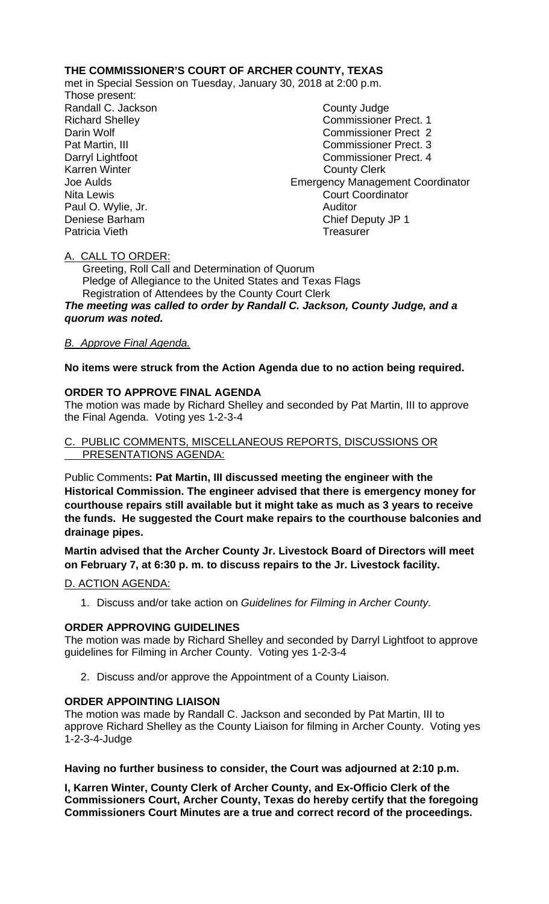## **THE COMMISSIONER'S COURT OF ARCHER COUNTY, TEXAS**

met in Special Session on Tuesday, January 30, 2018 at 2:00 p.m.

Those present: Randall C. Jackson County Judge Paul O. Wylie, Jr.

Richard Shelley Commissioner Prect. 1 Darin Wolf Commissioner Prect 2 Pat Martin, III Commissioner Prect. 3 Darryl Lightfoot Commissioner Prect. 4 Karren Winter **County Clerk** Joe Aulds Emergency Management Coordinator Nita Lewis<br>
Paul O. Wylie. Jr. Court Coordinator<br>
Paul O. Wylie. Jr. Court Coordinator Deniese Barham Chief Deputy JP 1 Patricia Vieth **Treasurer** Treasurer

### A. CALL TO ORDER:

 Greeting, Roll Call and Determination of Quorum Pledge of Allegiance to the United States and Texas Flags Registration of Attendees by the County Court Clerk *The meeting was called to order by Randall C. Jackson, County Judge, and a quorum was noted.*

# *B. Approve Final Agenda.*

### **No items were struck from the Action Agenda due to no action being required.**

### **ORDER TO APPROVE FINAL AGENDA**

The motion was made by Richard Shelley and seconded by Pat Martin, III to approve the Final Agenda. Voting yes 1-2-3-4

#### C. PUBLIC COMMENTS, MISCELLANEOUS REPORTS, DISCUSSIONS OR PRESENTATIONS AGENDA:

Public Comments**: Pat Martin, III discussed meeting the engineer with the Historical Commission. The engineer advised that there is emergency money for courthouse repairs still available but it might take as much as 3 years to receive the funds. He suggested the Court make repairs to the courthouse balconies and drainage pipes.**

**Martin advised that the Archer County Jr. Livestock Board of Directors will meet on February 7, at 6:30 p. m. to discuss repairs to the Jr. Livestock facility.**

#### D. ACTION AGENDA:

1. Discuss and/or take action on *Guidelines for Filming in Archer County.* 

### **ORDER APPROVING GUIDELINES**

The motion was made by Richard Shelley and seconded by Darryl Lightfoot to approve guidelines for Filming in Archer County. Voting yes 1-2-3-4

2. Discuss and/or approve the Appointment of a County Liaison.

### **ORDER APPOINTING LIAISON**

The motion was made by Randall C. Jackson and seconded by Pat Martin, III to approve Richard Shelley as the County Liaison for filming in Archer County. Voting yes 1-2-3-4-Judge

**Having no further business to consider, the Court was adjourned at 2:10 p.m.**

**I, Karren Winter, County Clerk of Archer County, and Ex-Officio Clerk of the Commissioners Court, Archer County, Texas do hereby certify that the foregoing Commissioners Court Minutes are a true and correct record of the proceedings.**